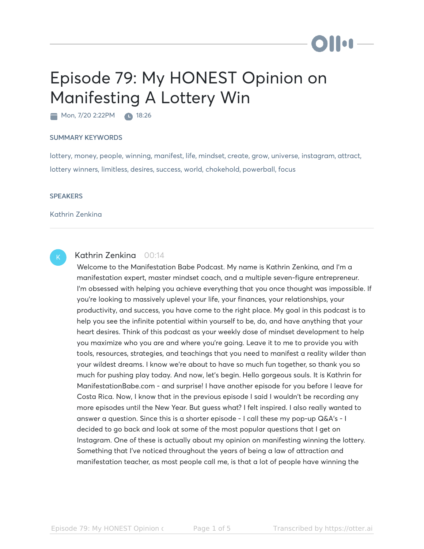## Episode 79: My HONEST Opinion on Manifesting A Lottery Win

Mon, 7/20 2:22PM 18:26

## SUMMARY KEYWORDS

lottery, money, people, winning, manifest, life, mindset, create, grow, universe, instagram, attract, lottery winners, limitless, desires, success, world, chokehold, powerball, focus

## **SPEAKERS**

Kathrin Zenkina



## Kathrin Zenkina 00:14

Welcome to the Manifestation Babe Podcast. My name is Kathrin Zenkina, and I'm a manifestation expert, master mindset coach, and a multiple seven-figure entrepreneur. I'm obsessed with helping you achieve everything that you once thought was impossible. If you're looking to massively uplevel your life, your finances, your relationships, your productivity, and success, you have come to the right place. My goal in this podcast is to help you see the infinite potential within yourself to be, do, and have anything that your heart desires. Think of this podcast as your weekly dose of mindset development to help you maximize who you are and where you're going. Leave it to me to provide you with tools, resources, strategies, and teachings that you need to manifest a reality wilder than your wildest dreams. I know we're about to have so much fun together, so thank you so much for pushing play today. And now, let's begin. Hello gorgeous souls. It is Kathrin for ManifestationBabe.com - and surprise! I have another episode for you before I leave for Costa Rica. Now, I know that in the previous episode I said I wouldn't be recording any more episodes until the New Year. But guess what? I felt inspired. I also really wanted to answer a question. Since this is a shorter episode - I call these my pop-up Q&A's - I decided to go back and look at some of the most popular questions that I get on Instagram. One of these is actually about my opinion on manifesting winning the lottery. Something that I've noticed throughout the years of being a law of attraction and manifestation teacher, as most people call me, is that a lot of people have winning the

DII OF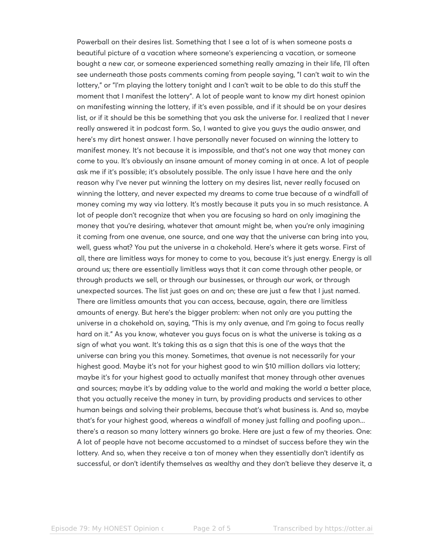Powerball on their desires list. Something that I see a lot of is when someone posts a beautiful picture of a vacation where someone's experiencing a vacation, or someone bought a new car, or someone experienced something really amazing in their life, I'll often see underneath those posts comments coming from people saying, "I can't wait to win the lottery," or "I'm playing the lottery tonight and I can't wait to be able to do this stuff the moment that I manifest the lottery". A lot of people want to know my dirt honest opinion on manifesting winning the lottery, if it's even possible, and if it should be on your desires list, or if it should be this be something that you ask the universe for. I realized that I never really answered it in podcast form. So, I wanted to give you guys the audio answer, and here's my dirt honest answer. I have personally never focused on winning the lottery to manifest money. It's not because it is impossible, and that's not one way that money can come to you. It's obviously an insane amount of money coming in at once. A lot of people ask me if it's possible; it's absolutely possible. The only issue I have here and the only reason why I've never put winning the lottery on my desires list, never really focused on winning the lottery, and never expected my dreams to come true because of a windfall of money coming my way via lottery. It's mostly because it puts you in so much resistance. A lot of people don't recognize that when you are focusing so hard on only imagining the money that you're desiring, whatever that amount might be, when you're only imagining it coming from one avenue, one source, and one way that the universe can bring into you, well, guess what? You put the universe in a chokehold. Here's where it gets worse. First of all, there are limitless ways for money to come to you, because it's just energy. Energy is all around us; there are essentially limitless ways that it can come through other people, or through products we sell, or through our businesses, or through our work, or through unexpected sources. The list just goes on and on; these are just a few that I just named. There are limitless amounts that you can access, because, again, there are limitless amounts of energy. But here's the bigger problem: when not only are you putting the universe in a chokehold on, saying, "This is my only avenue, and I'm going to focus really hard on it." As you know, whatever you guys focus on is what the universe is taking as a sign of what you want. It's taking this as a sign that this is one of the ways that the universe can bring you this money. Sometimes, that avenue is not necessarily for your highest good. Maybe it's not for your highest good to win \$10 million dollars via lottery; maybe it's for your highest good to actually manifest that money through other avenues and sources; maybe it's by adding value to the world and making the world a better place, that you actually receive the money in turn, by providing products and services to other human beings and solving their problems, because that's what business is. And so, maybe that's for your highest good, whereas a windfall of money just falling and poofing upon... there's a reason so many lottery winners go broke. Here are just a few of my theories. One: A lot of people have not become accustomed to a mindset of success before they win the lottery. And so, when they receive a ton of money when they essentially don't identify as successful, or don't identify themselves as wealthy and they don't believe they deserve it, a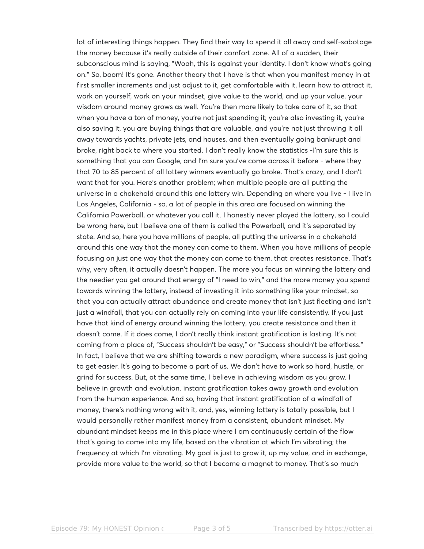lot of interesting things happen. They find their way to spend it all away and self-sabotage the money because it's really outside of their comfort zone. All of a sudden, their subconscious mind is saying, "Woah, this is against your identity. I don't know what's going on." So, boom! It's gone. Another theory that I have is that when you manifest money in at first smaller increments and just adjust to it, get comfortable with it, learn how to attract it, work on yourself, work on your mindset, give value to the world, and up your value, your wisdom around money grows as well. You're then more likely to take care of it, so that when you have a ton of money, you're not just spending it; you're also investing it, you're also saving it, you are buying things that are valuable, and you're not just throwing it all away towards yachts, private jets, and houses, and then eventually going bankrupt and broke, right back to where you started. I don't really know the statistics -I'm sure this is something that you can Google, and I'm sure you've come across it before - where they that 70 to 85 percent of all lottery winners eventually go broke. That's crazy, and I don't want that for you. Here's another problem; when multiple people are all putting the universe in a chokehold around this one lottery win. Depending on where you live - I live in Los Angeles, California - so, a lot of people in this area are focused on winning the California Powerball, or whatever you call it. I honestly never played the lottery, so I could be wrong here, but I believe one of them is called the Powerball, and it's separated by state. And so, here you have millions of people, all putting the universe in a chokehold around this one way that the money can come to them. When you have millions of people focusing on just one way that the money can come to them, that creates resistance. That's why, very often, it actually doesn't happen. The more you focus on winning the lottery and the needier you get around that energy of "I need to win," and the more money you spend towards winning the lottery, instead of investing it into something like your mindset, so that you can actually attract abundance and create money that isn't just fleeting and isn't just a windfall, that you can actually rely on coming into your life consistently. If you just have that kind of energy around winning the lottery, you create resistance and then it doesn't come. If it does come, I don't really think instant gratification is lasting. It's not coming from a place of, "Success shouldn't be easy," or "Success shouldn't be effortless." In fact, I believe that we are shifting towards a new paradigm, where success is just going to get easier. It's going to become a part of us. We don't have to work so hard, hustle, or grind for success. But, at the same time, I believe in achieving wisdom as you grow. I believe in growth and evolution. instant gratification takes away growth and evolution from the human experience. And so, having that instant gratification of a windfall of money, there's nothing wrong with it, and, yes, winning lottery is totally possible, but I would personally rather manifest money from a consistent, abundant mindset. My abundant mindset keeps me in this place where I am continuously certain of the flow that's going to come into my life, based on the vibration at which I'm vibrating; the frequency at which I'm vibrating. My goal is just to grow it, up my value, and in exchange, provide more value to the world, so that I become a magnet to money. That's so much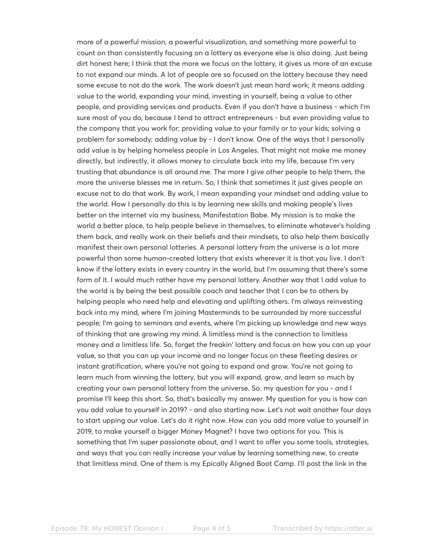more of a powerful mission, a powerful visualization, and something more powerful to count on than consistently focusing on a lottery as everyone else is also doing. Just being dirt honest here; I think that the more we focus on the lottery, it gives us more of an excuse to not expand our minds. A lot of people are so focused on the lottery because they need some excuse to not do the work. The work doesn't just mean hard work; it means adding value to the world, expanding your mind, investing in yourself, being a value to other people, and providing services and products. Even if you don't have a business - which I'm sure most of you do, because I tend to attract entrepreneurs - but even providing value to the company that you work for; providing value to your family or to your kids; solving a problem for somebody; adding value by - I don't know. One of the ways that I personally add value is by helping homeless people in Los Angeles. That might not make me money directly, but indirectly, it allows money to circulate back into my life, because I'm very trusting that abundance is all around me. The more I give other people to help them, the more the universe blesses me in return. So, I think that sometimes it just gives people an excuse not to do that work. By work, I mean expanding your mindset and adding value to the world. How I personally do this is by learning new skills and making people's lives better on the internet via my business, Manifestation Babe. My mission is to make the world a better place, to help people believe in themselves, to eliminate whatever's holding them back, and really work on their beliefs and their mindsets, to also help them basically manifest their own personal lotteries. A personal lottery from the universe is a lot more powerful than some human-created lottery that exists wherever it is that you live. I don't know if the lottery exists in every country in the world, but I'm assuming that there's some form of it. I would much rather have my personal lottery. Another way that I add value to the world is by being the best possible coach and teacher that I can be to others by helping people who need help and elevating and uplifting others. I'm always reinvesting back into my mind, where I'm joining Masterminds to be surrounded by more successful people; I'm going to seminars and events, where I'm picking up knowledge and new ways of thinking that are growing my mind. A limitless mind is the connection to limitless money and a limitless life. So, forget the freakin' lottery and focus on how you can up your value, so that you can up your income and no longer focus on these fleeting desires or instant gratification, where you're not going to expand and grow. You're not going to learn much from winning the lottery, but you will expand, grow, and learn so much by creating your own personal lottery from the universe. So. my question for you - and I promise I'll keep this short. So, that's basically my answer. My question for you is how can you add value to yourself in 2019? - and also starting now. Let's not wait another four days to start upping our value. Let's do it right now. How can you add more value to yourself in 2019, to make yourself a bigger Money Magnet? I have two options for you. This is something that I'm super passionate about, and I want to offer you some tools, strategies, and ways that you can really increase your value by learning something new, to create that limitless mind. One of them is my Epically Aligned Boot Camp. I'll post the link in the